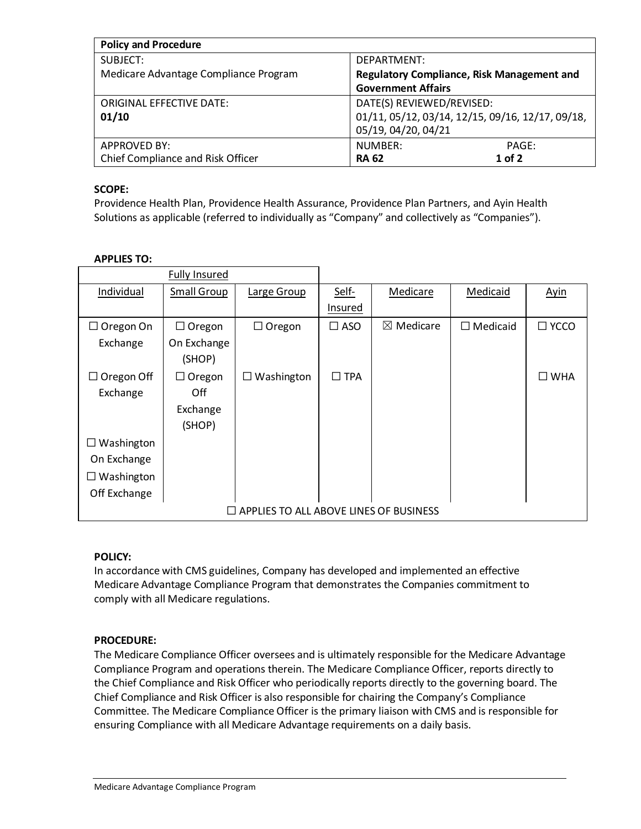| <b>Policy and Procedure</b>           |                                                   |  |  |  |
|---------------------------------------|---------------------------------------------------|--|--|--|
| SUBJECT:                              | DEPARTMENT:                                       |  |  |  |
| Medicare Advantage Compliance Program | <b>Regulatory Compliance, Risk Management and</b> |  |  |  |
|                                       | <b>Government Affairs</b>                         |  |  |  |
| <b>ORIGINAL EFFECTIVE DATE:</b>       | DATE(S) REVIEWED/REVISED:                         |  |  |  |
| 01/10                                 | 01/11, 05/12, 03/14, 12/15, 09/16, 12/17, 09/18,  |  |  |  |
|                                       | 05/19, 04/20, 04/21                               |  |  |  |
| APPROVED BY:                          | NUMBER:<br>PAGE:                                  |  |  |  |
| Chief Compliance and Risk Officer     | $1$ of 2<br><b>RA 62</b>                          |  |  |  |

## **SCOPE:**

Providence Health Plan, Providence Health Assurance, Providence Plan Partners, and Ayin Health Solutions as applicable (referred to individually as "Company" and collectively as "Companies").

### **APPLIES TO:**

|                                               | <b>Fully Insured</b> |                   |               |                      |                    |               |
|-----------------------------------------------|----------------------|-------------------|---------------|----------------------|--------------------|---------------|
| Individual                                    | <b>Small Group</b>   | Large Group       | Self-         | Medicare             | Medicaid           | <b>Ayin</b>   |
|                                               |                      |                   | Insured       |                      |                    |               |
| $\Box$ Oregon On                              | $\Box$ Oregon        | $\Box$ Oregon     | $\square$ ASO | $\boxtimes$ Medicare | $\square$ Medicaid | $\Box$ YCCO   |
| Exchange                                      | On Exchange          |                   |               |                      |                    |               |
|                                               | (SHOP)               |                   |               |                      |                    |               |
| $\Box$ Oregon Off                             | $\Box$ Oregon        | $\Box$ Washington | $\square$ TPA |                      |                    | $\square$ WHA |
| Exchange                                      | Off                  |                   |               |                      |                    |               |
|                                               | Exchange             |                   |               |                      |                    |               |
|                                               | (SHOP)               |                   |               |                      |                    |               |
| Washington<br>Ш                               |                      |                   |               |                      |                    |               |
| On Exchange                                   |                      |                   |               |                      |                    |               |
| Washington<br>⊔                               |                      |                   |               |                      |                    |               |
| Off Exchange                                  |                      |                   |               |                      |                    |               |
| $\Box$ APPLIES TO ALL ABOVE LINES OF BUSINESS |                      |                   |               |                      |                    |               |

#### **POLICY:**

In accordance with CMS guidelines, Company has developed and implemented an effective Medicare Advantage Compliance Program that demonstrates the Companies commitment to comply with all Medicare regulations.

# **PROCEDURE:**

The Medicare Compliance Officer oversees and is ultimately responsible for the Medicare Advantage Compliance Program and operations therein. The Medicare Compliance Officer, reports directly to the Chief Compliance and Risk Officer who periodically reports directly to the governing board. The Chief Compliance and Risk Officer is also responsible for chairing the Company's Compliance Committee. The Medicare Compliance Officer is the primary liaison with CMS and is responsible for ensuring Compliance with all Medicare Advantage requirements on a daily basis.